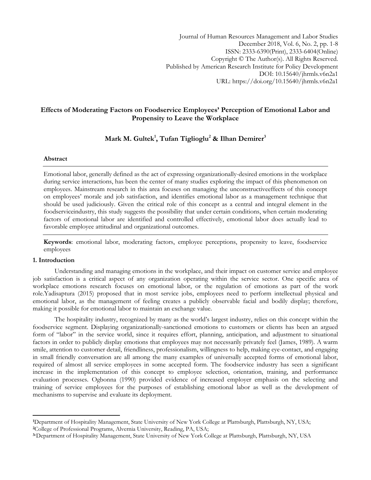## **Effects of Moderating Factors on Foodservice Employees' Perception of Emotional Labor and Propensity to Leave the Workplace**

# **Mark M. Gultek<sup>1</sup> , Tufan Tiglioglu<sup>2</sup> & Ilhan Demirer<sup>3</sup>**

## **Abstract**

Emotional labor, generally defined as the act of expressing organizationally-desired emotions in the workplace during service interactions, has been the center of many studies exploring the impact of this phenomenon on employees. Mainstream research in this area focuses on managing the unconstructiveeffects of this concept on employees' morale and job satisfaction, and identifies emotional labor as a management technique that should be used judiciously. Given the critical role of this concept as a central and integral element in the foodserviceindustry, this study suggests the possibility that under certain conditions, when certain moderating factors of emotional labor are identified and controlled effectively, emotional labor does actually lead to favorable employee attitudinal and organizational outcomes.

**Keywords**: emotional labor, moderating factors, employee perceptions, propensity to leave, foodservice employees

## **1. Introduction**

 $\overline{\phantom{a}}$ 

Understanding and managing emotions in the workplace, and their impact on customer service and employee job satisfaction is a critical aspect of any organization operating within the service sector. One specific area of workplace emotions research focuses on emotional labor, or the regulation of emotions as part of the work role.Yadisaptura (2015) proposed that in most service jobs, employees need to perform intellectual physical and emotional labor, as the management of feeling creates a publicly observable facial and bodily display; therefore, making it possible for emotional labor to maintain an exchange value.

The hospitality industry, recognized by many as the world's largest industry, relies on this concept within the foodservice segment. Displaying organizationally-sanctioned emotions to customers or clients has been an argued form of "labor" in the service world, since it requires effort, planning, anticipation, and adjustment to situational factors in order to publicly display emotions that employees may not necessarily privately feel (James, 1989). A warm smile, attention to customer detail, friendliness, professionalism, willingness to help, making eye-contact, and engaging in small friendly conversation are all among the many examples of universally accepted forms of emotional labor, required of almost all service employees in some accepted form. The foodservice industry has seen a significant increase in the implementation of this concept to employee selection, orientation, training, and performance evaluation processes. Ogbonna (1990) provided evidence of increased employer emphasis on the selecting and training of service employees for the purposes of establishing emotional labor as well as the development of mechanisms to supervise and evaluate its deployment.

**<sup>1</sup>**Department of Hospitality Management, State University of New York College at Plattsburgh, Plattsburgh, NY, USA; **<sup>2</sup>**College of Professional Programs, Alvernia University, Reading, PA, USA;

**<sup>3</sup>**cDepartment of Hospitality Management, State University of New York College at Plattsburgh, Plattsburgh, NY, USA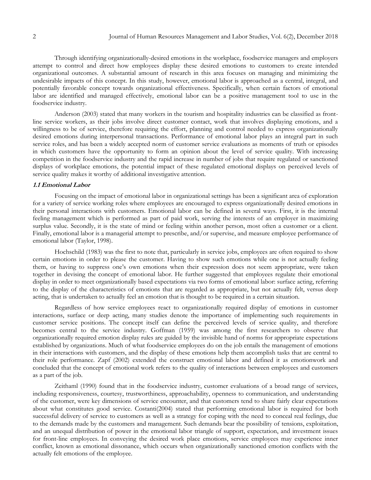Through identifying organizationally-desired emotions in the workplace, foodservice managers and employers attempt to control and direct how employees display these desired emotions to customers to create intended organizational outcomes. A substantial amount of research in this area focuses on managing and minimizing the undesirable impacts of this concept. In this study, however, emotional labor is approached as a central, integral, and potentially favorable concept towards organizational effectiveness. Specifically, when certain factors of emotional labor are identified and managed effectively, emotional labor can be a positive management tool to use in the foodservice industry.

Anderson (2003) stated that many workers in the tourism and hospitality industries can be classified as frontline service workers, as their jobs involve direct customer contact, work that involves displaying emotions, and a willingness to be of service, therefore requiring the effort, planning and control needed to express organizationally desired emotions during interpersonal transactions. Performance of emotional labor plays an integral part in such service roles, and has been a widely accepted norm of customer service evaluations as moments of truth or episodes in which customers have the opportunity to form an opinion about the level of service quality. With increasing competition in the foodservice industry and the rapid increase in number of jobs that require regulated or sanctioned displays of workplace emotions, the potential impact of these regulated emotional displays on perceived levels of service quality makes it worthy of additional investigative attention.

## **1.1 Emotional Labor**

Focusing on the impact of emotional labor in organizational settings has been a significant area of exploration for a variety of service working roles where employees are encouraged to express organizationally desired emotions in their personal interactions with customers. Emotional labor can be defined in several ways. First, it is the internal feeling management which is performed as part of paid work, serving the interests of an employer in maximizing surplus value. Secondly, it is the state of mind or feeling within another person, most often a customer or a client. Finally, emotional labor is a managerial attempt to prescribe, and/or supervise, and measure employee performance of emotional labor (Taylor, 1998).

Hochschild (1983) was the first to note that, particularly in service jobs, employees are often required to show certain emotions in order to please the customer. Having to show such emotions while one is not actually feeling them, or having to suppress one's own emotions when their expression does not seem appropriate, were taken together in devising the concept of emotional labor. He further suggested that employees regulate their emotional display in order to meet organizationally based expectations via two forms of emotional labor: surface acting, referring to the display of the characteristics of emotions that are regarded as appropriate, but not actually felt, versus deep acting, that is undertaken to actually feel an emotion that is thought to be required in a certain situation.

Regardless of how service employees react to organizationally required display of emotions in customer interactions, surface or deep acting, many studies denote the importance of implementing such requirements in customer service positions. The concept itself can define the perceived levels of service quality, and therefore becomes central to the service industry. Goffman (1959) was among the first researchers to observe that organizationally required emotion display rules are guided by the invisible hand of norms for appropriate expectations established by organizations. Much of what foodservice employees do on the job entails the management of emotions in their interactions with customers, and the display of these emotions help them accomplish tasks that are central to their role performance. Zapf (2002) extended the construct emotional labor and defined it as emotionwork and concluded that the concept of emotional work refers to the quality of interactions between employees and customers as a part of the job.

Zeithaml (1990) found that in the foodservice industry, customer evaluations of a broad range of services, including responsiveness, courtesy, trustworthiness, approachability, openness to communication, and understanding of the customer, were key dimensions of service encounter, and that customers tend to share fairly clear expectations about what constitutes good service. Costanti(2004) stated that performing emotional labor is required for both successful delivery of service to customers as well as a strategy for coping with the need to conceal real feelings, due to the demands made by the customers and management. Such demands bear the possibility of tensions, exploitation, and an unequal distribution of power in the emotional labor triangle of support, expectation, and investment issues for front-line employees. In conveying the desired work place emotions, service employees may experience inner conflict, known as emotional dissonance, which occurs when organizationally sanctioned emotion conflicts with the actually felt emotions of the employee.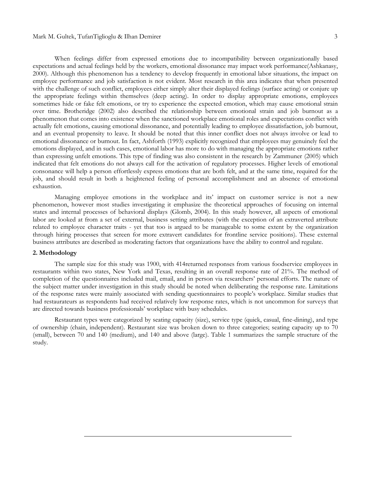#### Mark M. Gultek, TufanTiglioglu & Ilhan Demirer 3

When feelings differ from expressed emotions due to incompatibility between organizationally based expectations and actual feelings held by the workers, emotional dissonance may impact work performance(Ashkanasy, 2000). Although this phenomenon has a tendency to develop frequently in emotional labor situations, the impact on employee performance and job satisfaction is not evident. Most research in this area indicates that when presented with the challenge of such conflict, employees either simply alter their displayed feelings (surface acting) or conjure up the appropriate feelings within themselves (deep acting). In order to display appropriate emotions, employees sometimes hide or fake felt emotions, or try to experience the expected emotion, which may cause emotional strain over time. Brotheridge (2002) also described the relationship between emotional strain and job burnout as a phenomenon that comes into existence when the sanctioned workplace emotional roles and expectations conflict with actually felt emotions, causing emotional dissonance, and potentially leading to employee dissatisfaction, job burnout, and an eventual propensity to leave. It should be noted that this inner conflict does not always involve or lead to emotional dissonance or burnout. In fact, Ashforth (1993) explicitly recognized that employees may genuinely feel the emotions displayed, and in such cases, emotional labor has more to do with managing the appropriate emotions rather than expressing unfelt emotions. This type of finding was also consistent in the research by Zammuner (2005) which indicated that felt emotions do not always call for the activation of regulatory processes. Higher levels of emotional consonance will help a person effortlessly express emotions that are both felt, and at the same time, required for the job, and should result in both a heightened feeling of personal accomplishment and an absence of emotional exhaustion.

Managing employee emotions in the workplace and its' impact on customer service is not a new phenomenon, however most studies investigating it emphasize the theoretical approaches of focusing on internal states and internal processes of behavioral displays (Glomb, 2004). In this study however, all aspects of emotional labor are looked at from a set of external, business setting attributes (with the exception of an extraverted attribute related to employee character traits - yet that too is argued to be manageable to some extent by the organization through hiring processes that screen for more extravert candidates for frontline service positions). These external business attributes are described as moderating factors that organizations have the ability to control and regulate.

## **2. Methodology**

The sample size for this study was 1900, with 414returned responses from various foodservice employees in restaurants within two states, New York and Texas, resulting in an overall response rate of 21%. The method of completion of the questionnaires included mail, email, and in person via researchers' personal efforts. The nature of the subject matter under investigation in this study should be noted when deliberating the response rate. Limitations of the response rates were mainly associated with sending questionnaires to people's workplace. Similar studies that had restaurateurs as respondents had received relatively low response rates, which is not uncommon for surveys that are directed towards business professionals' workplace with busy schedules.

Restaurant types were categorized by seating capacity (size), service type (quick, casual, fine-dining), and type of ownership (chain, independent). Restaurant size was broken down to three categories; seating capacity up to 70 (small), between 70 and 140 (medium), and 140 and above (large). Table 1 summarizes the sample structure of the study.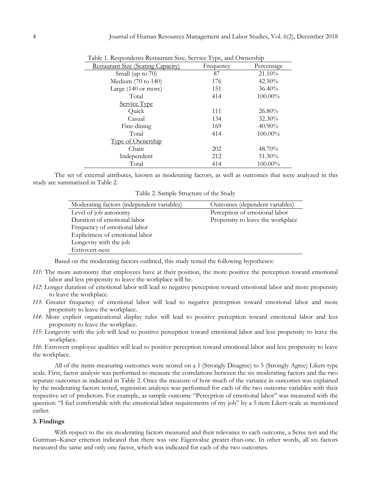| able 1. Respondents Restaurant Size, Service Type, and Ownership |           |            |  |
|------------------------------------------------------------------|-----------|------------|--|
| <b>Restaurant Size (Seating Capacity)</b>                        | Frequency | Percentage |  |
| Small (up to 70)                                                 | 87        | 21.10%     |  |
| Medium $(70 \text{ to } 140)$                                    | 176       | $42.50\%$  |  |
| Large (140 or more)                                              | 151       | 36.40%     |  |
| Total                                                            | 414       | 100.00%    |  |
| Service Type                                                     |           |            |  |
| Quick                                                            | 111       | $26.80\%$  |  |
| Casual                                                           | 134       | 32.30%     |  |
| Fine-dining                                                      | 169       | $40.90\%$  |  |
| Total                                                            | 414       | 100.00%    |  |
| <u>Type of Ownership</u>                                         |           |            |  |
| Chain                                                            | 202       | 48.70%     |  |
| Independent                                                      | 212       | 51.30%     |  |
| Total                                                            | 414       | $100.00\%$ |  |

Table 1. Respondents Restaurant Size, Service Type, and Ownership

The set of external attributes, known as moderating factors, as well as outcomes that were analyzed in this study are summarized in Table 2.

Table 2. Sample Structure of the Study

| Moderating factors (independent variables) | Outcomes (dependent variables)    |
|--------------------------------------------|-----------------------------------|
| Level of job autonomy                      | Perception of emotional labor     |
| Duration of emotional labor                | Propensity to leave the workplace |
| Frequency of emotional labor               |                                   |
| Explicitness of emotional labor            |                                   |
| Longevity with the job                     |                                   |
| Extrovert-ness                             |                                   |

Based on the moderating factors outlined, this study tested the following hypotheses:

- *H1*: The more autonomy that employees have at their position, the more positive the perception toward emotional labor and less propensity to leave the workplace will be.
- *H2*: Longer duration of emotional labor will lead to negative perception toward emotional labor and more propensity to leave the workplace.
- *H3*: Greater frequency of emotional labor will lead to negative perception toward emotional labor and more propensity to leave the workplace.
- *H4*: More explicit organizational display rules will lead to positive perception toward emotional labor and less propensity to leave the workplace.
- *H5*: Longevity with the job will lead to positive perception toward emotional labor and less propensity to leave the workplace.

*H6*: Extrovert employee qualities will lead to positive perception toward emotional labor and less propensity to leave the workplace.

All of the items measuring outcomes were scored on a 1 (Strongly Disagree) to 5 (Strongly Agree) Likert-type scale. First, factor analysis was performed to measure the correlations between the six moderating factors and the two separate outcomes as indicated in Table 2. Once the measure of how much of the variance in outcomes was explained by the moderating factors tested, regression analyses was performed for each of the two outcome variables with their respective set of predictors. For example, as sample outcome "Perception of emotional labor" was measured with the question: "I feel comfortable with the emotional labor requirements of my job" by a 5 item Likert-scale as mentioned earlier.

#### **3. Findings**

With respect to the six moderating factors measured and their relevance to each outcome, a Scree test and the Guttman–Kaiser criterion indicated that there was one Eigenvalue greater-than-one. In other words, all six factors measured the same and only one factor, which was indicated for each of the two outcomes.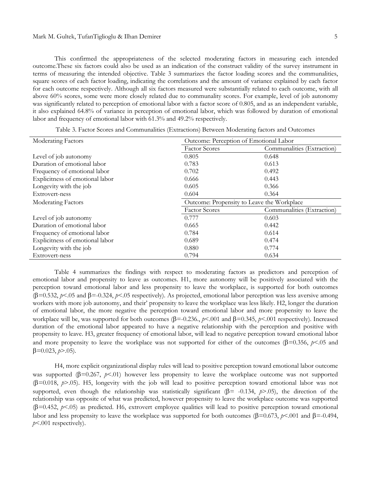This confirmed the appropriateness of the selected moderating factors in measuring each intended outcome.These six factors could also be used as an indication of the construct validity of the survey instrument in terms of measuring the intended objective. Table 3 summarizes the factor loading scores and the communalities, square scores of each factor loading, indicating the correlations and the amount of variance explained by each factor for each outcome respectively. Although all six factors measured were substantially related to each outcome, with all above 60% scores, some were more closely related due to communality scores. For example, level of job autonomy was significantly related to perception of emotional labor with a factor score of 0.805, and as an independent variable, it also explained 64.8% of variance in perception of emotional labor, which was followed by duration of emotional labor and frequency of emotional labor with 61.3% and 49.2% respectively.

| Moderating Factors              |                                            | Outcome: Perception of Emotional Labor |  |
|---------------------------------|--------------------------------------------|----------------------------------------|--|
|                                 | <b>Factor Scores</b>                       | Communalities (Extraction)             |  |
| Level of job autonomy           | 0.805                                      | 0.648                                  |  |
| Duration of emotional labor     | 0.783                                      | 0.613                                  |  |
| Frequency of emotional labor    | 0.702                                      | 0.492                                  |  |
| Explicitness of emotional labor | 0.666                                      | 0.443                                  |  |
| Longevity with the job          | 0.605                                      | 0.366                                  |  |
| Extrovert-ness                  | 0.604                                      | 0.364                                  |  |
| <b>Moderating Factors</b>       | Outcome: Propensity to Leave the Workplace |                                        |  |
|                                 | <b>Factor Scores</b>                       | Communalities (Extraction)             |  |
| Level of job autonomy           | 0.777                                      | 0.603                                  |  |
| Duration of emotional labor     | 0.665                                      | 0.442                                  |  |
| Frequency of emotional labor    | 0.784                                      | 0.614                                  |  |
| Explicitness of emotional labor | 0.689                                      | 0.474                                  |  |
| Longevity with the job          | 0.880                                      | 0.774                                  |  |
| Extrovert-ness                  | 0.794                                      | 0.634                                  |  |

Table 3. Factor Scores and Communalities (Extractions) Between Moderating factors and Outcomes

Table 4 summarizes the findings with respect to moderating factors as predictors and perception of emotional labor and propensity to leave as outcomes. H1, more autonomy will be positively associated with the perception toward emotional labor and less propensity to leave the workplace, is supported for both outcomes  $(\beta=0.532, p<.05$  and  $\beta=-0.324, p<.05$  respectively). As projected, emotional labor perception was less aversive among workers with more job autonomy, and their' propensity to leave the workplace was less likely. H2, longer the duration of emotional labor, the more negative the perception toward emotional labor and more propensity to leave the workplace will be, was supported for both outcomes ( $\beta = 0.236$ ,  $p < 0.01$  and  $\beta = 0.345$ ,  $p < 0.01$  respectively). Increased duration of the emotional labor appeared to have a negative relationship with the perception and positive with propensity to leave. H3, greater frequency of emotional labor, will lead to negative perception toward emotional labor and more propensity to leave the workplace was not supported for either of the outcomes ( $\beta$ =0.356,  $\beta$ <.05 and  $\beta = 0.023, \, \phi > 0.05$ .

H4, more explicit organizational display rules will lead to positive perception toward emotional labor outcome was supported  $(\beta=0.267, p<.01)$  however less propensity to leave the workplace outcome was not supported  $(\beta=0.018, p>0.05)$ . H5, longevity with the job will lead to positive perception toward emotional labor was not supported, even though the relationship was statistically significant ( $\beta$ = -0.134,  $p$ >.05), the direction of the relationship was opposite of what was predicted, however propensity to leave the workplace outcome was supported  $(\beta=0.452, p<0.05)$  as predicted. H6, extrovert employee qualities will lead to positive perception toward emotional labor and less propensity to leave the workplace was supported for both outcomes ( $\beta$ =0.673,  $\beta$  <.001 and  $\beta$ =-0.494, *p*<.001 respectively).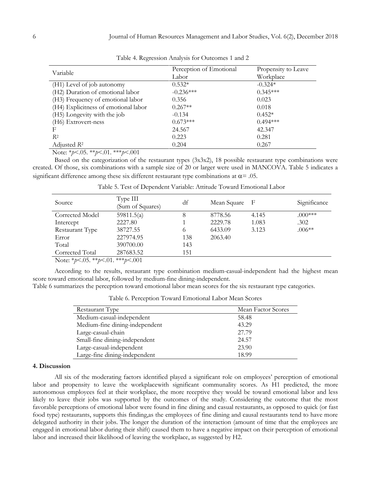| Variable                             | Perception of Emotional | Propensity to Leave |
|--------------------------------------|-------------------------|---------------------|
|                                      | Labor                   | Workplace           |
| (H1) Level of job autonomy           | $0.532*$                | $-0.324*$           |
| (H2) Duration of emotional labor     | $-0.236***$             | $0.345***$          |
| (H3) Frequency of emotional labor    | 0.356                   | 0.023               |
| (H4) Explicitness of emotional labor | $0.267**$               | 0.018               |
| (H5) Longevity with the job          | $-0.134$                | $0.452*$            |
| (H6) Extrovert-ness                  | $0.673***$              | $0.494***$          |
| F                                    | 24.567                  | 42.347              |
| $R^2$                                | 0.223                   | 0.281               |
| Adjusted $R^2$                       | 0.204                   | 0.267               |

Table 4. Regression Analysis for Outcomes 1 and 2

Note: \**p*<.05. \*\**p*<.01. \*\*\**p*<.001

Based on the categorization of the restaurant types (3x3x2), 18 possible restaurant type combinations were created. Of those, six combinations with a sample size of 20 or larger were used in MANCOVA. Table 5 indicates a significant difference among these six different restaurant type combinations at  $\alpha = .05$ .

| Source                                                                                                                                                                                                                | Type III<br>(Sum of Squares) | df  | Mean Square | - F   | Significance |
|-----------------------------------------------------------------------------------------------------------------------------------------------------------------------------------------------------------------------|------------------------------|-----|-------------|-------|--------------|
| Corrected Model                                                                                                                                                                                                       | 59811.5(a)                   |     | 8778.56     | 4.145 | $.000***$    |
| Intercept                                                                                                                                                                                                             | 2227.80                      |     | 2229.78     | 1.083 | .302         |
| Restaurant Type                                                                                                                                                                                                       | 38727.55                     | 6   | 6433.09     | 3.123 | $.006**$     |
| Error                                                                                                                                                                                                                 | 227974.95                    | 138 | 2063.40     |       |              |
| Total                                                                                                                                                                                                                 | 390700.00                    | 143 |             |       |              |
| Corrected Total                                                                                                                                                                                                       | 287683.52                    | 151 |             |       |              |
| $N_{\perp}$ $\downarrow$ $\downarrow$ $\sim$ $\Omega_{\perp}$ $\downarrow$ $\downarrow$ $\downarrow$ $\sim$ $\Omega_{\perp}$ $\downarrow$ $\downarrow$ $\downarrow$ $\downarrow$ $\downarrow$ $\sim$ $\Omega_{\perp}$ |                              |     |             |       |              |

Table 5. Test of Dependent Variable: Attitude Toward Emotional Labor

Note: \**p*<.05. \*\**p*<.01. \*\*\**p*<.001

According to the results, restaurant type combination medium-casual-independent had the highest mean score toward emotional labor, followed by medium-fine dining-independent.

Table 6 summarizes the perception toward emotional labor mean scores for the six restaurant type categories.

Table 6. Perception Toward Emotional Labor Mean Scores

| Restaurant Type                | Mean Factor Scores |
|--------------------------------|--------------------|
| Medium-casual-independent      | 58.48              |
| Medium-fine dining-independent | 43.29              |
| Large-casual-chain             | 27.79              |
| Small-fine dining-independent  | 24.57              |
| Large-casual-independent       | 23.90              |
| Large-fine dining-independent  | 18.99              |

#### **4. Discussion**

All six of the moderating factors identified played a significant role on employees' perception of emotional labor and propensity to leave the workplacewith significant communality scores. As H1 predicted, the more autonomous employees feel at their workplace, the more receptive they would be toward emotional labor and less likely to leave their jobs was supported by the outcomes of the study. Considering the outcome that the most favorable perceptions of emotional labor were found in fine dining and casual restaurants, as opposed to quick (or fast food type) restaurants, supports this finding,as the employees of fine dining and causal restaurants tend to have more delegated authority in their jobs. The longer the duration of the interaction (amount of time that the employees are engaged in emotional labor during their shift) caused them to have a negative impact on their perception of emotional labor and increased their likelihood of leaving the workplace, as suggested by H2.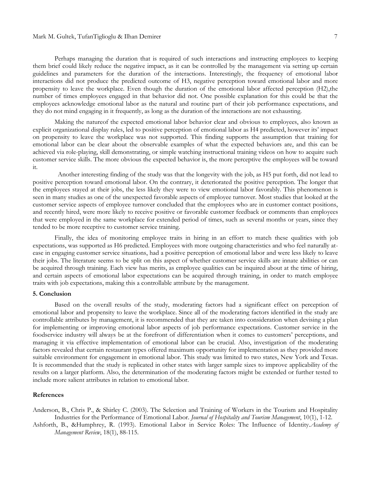## Mark M. Gultek, TufanTiglioglu & Ilhan Demirer 7

Perhaps managing the duration that is required of such interactions and instructing employees to keeping them brief could likely reduce the negative impact, as it can be controlled by the management via setting up certain guidelines and parameters for the duration of the interactions. Interestingly, the frequency of emotional labor interactions did not produce the predicted outcome of H3, negative perception toward emotional labor and more propensity to leave the workplace. Even though the duration of the emotional labor affected perception (H2),the number of times employees engaged in that behavior did not. One possible explanation for this could be that the employees acknowledge emotional labor as the natural and routine part of their job performance expectations, and they do not mind engaging in it frequently, as long as the duration of the interactions are not exhausting.

Making the natureof the expected emotional labor behavior clear and obvious to employees, also known as explicit organizational display rules, led to positive perception of emotional labor as H4 predicted, however its' impact on propensity to leave the workplace was not supported. This finding supports the assumption that training for emotional labor can be clear about the observable examples of what the expected behaviors are, and this can be achieved via role-playing, skill demonstrating, or simple watching instructional training videos on how to acquire such customer service skills. The more obvious the expected behavior is, the more perceptive the employees will be toward it.

 Another interesting finding of the study was that the longevity with the job, as H5 put forth, did not lead to positive perception toward emotional labor. On the contrary, it deteriorated the positive perception. The longer that the employees stayed at their jobs, the less likely they were to view emotional labor favorably. This phenomenon is seen in many studies as one of the unexpected favorable aspects of employee turnover. Most studies that looked at the customer service aspects of employee turnover concluded that the employees who are in customer contact positions, and recently hired, were more likely to receive positive or favorable customer feedback or comments than employees that were employed in the same workplace for extended period of times, such as several months or years, since they tended to be more receptive to customer service training.

Finally, the idea of monitoring employee traits in hiring in an effort to match these qualities with job expectations, was supported as H6 predicted. Employees with more outgoing characteristics and who feel naturally atease in engaging customer service situations, had a positive perception of emotional labor and were less likely to leave their jobs. The literature seems to be split on this aspect of whether customer service skills are innate abilities or can be acquired through training. Each view has merits, as employee qualities can be inquired about at the time of hiring, and certain aspects of emotional labor expectations can be acquired through training, in order to match employee traits with job expectations, making this a controllable attribute by the management.

#### **5. Conclusion**

Based on the overall results of the study, moderating factors had a significant effect on perception of emotional labor and propensity to leave the workplace. Since all of the moderating factors identified in the study are controllable attributes by management, it is recommended that they are taken into consideration when devising a plan for implementing or improving emotional labor aspects of job performance expectations. Customer service in the foodservice industry will always be at the forefront of differentiation when it comes to customers' perceptions, and managing it via effective implementation of emotional labor can be crucial. Also, investigation of the moderating factors revealed that certain restaurant types offered maximum opportunity for implementation as they provided more suitable environment for engagement in emotional labor. This study was limited to two states, New York and Texas. It is recommended that the study is replicated in other states with larger sample sizes to improve applicability of the results on a larger platform. Also, the determination of the moderating factors might be extended or further tested to include more salient attributes in relation to emotional labor.

#### **References**

Anderson, B., Chris P., & Shirley C. (2003). The Selection and Training of Workers in the Tourism and Hospitality Industries for the Performance of Emotional Labor. *Journal of Hospitality and Tourism Management*, 10(1), 1-12.

Ashforth, B., &Humphrey, R. (1993). Emotional Labor in Service Roles: The Influence of Identity.*Academy of Management Review*, 18(1), 88-115.